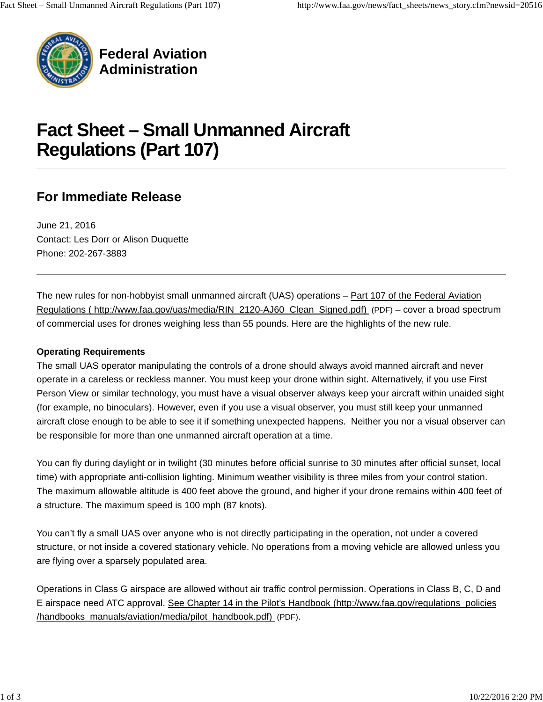

**Federal Aviation Administration**

# **Fact Sheet – Small Unmanned Aircraft Regulations (Part 107)**

## **For Immediate Release**

June 21, 2016 Contact: Les Dorr or Alison Duquette Phone: 202-267-3883

The new rules for non-hobbyist small unmanned aircraft (UAS) operations – Part 107 of the Federal Aviation Regulations [\( http://www.faa.gov/uas/media/RIN\\_2120-AJ60\\_Clean\\_Signed.p](http://www.faa.gov/uas/media/RIN_2120-AJ60_Clean_Signed.pdf)df) (PDF) – cover a broad spectrum of commercial uses for drones weighing less than 55 pounds. Here are the highlights of the new rule.

#### **Operating Requirements**

The small UAS operator manipulating the controls of a drone should always avoid manned aircraft and never operate in a careless or reckless manner. You must keep your drone within sight. Alternatively, if you use First Person View or similar technology, you must have a visual observer always keep your aircraft within unaided sight (for example, no binoculars). However, even if you use a visual observer, you must still keep your unmanned aircraft close enough to be able to see it if something unexpected happens. Neither you nor a visual observer can be responsible for more than one unmanned aircraft operation at a time.

You can fly during daylight or in twilight (30 minutes before official sunrise to 30 minutes after official sunset, local time) with appropriate anti-collision lighting. Minimum weather visibility is three miles from your control station. The maximum allowable altitude is 400 feet above the ground, and higher if your drone remains within 400 feet of a structure. The maximum speed is 100 mph (87 knots).

You can't fly a small UAS over anyone who is not directly participating in the operation, not under a covered structure, or not inside a covered stationary vehicle. No operations from a moving vehicle are allowed unless you are flying over a sparsely populated area.

Operations in Class G airspace are allowed without air traffic control permission. Operations in Class B, C, D and E airspace need ATC approval. See Chapter 14 in the Pilot's Handboo[k \(http://www.faa.gov/regulations\\_polic](http://www.faa.gov/regulations_policies)ies /handbooks\_manuals/aviation/media/pilot\_handbook.pdf) (PDF).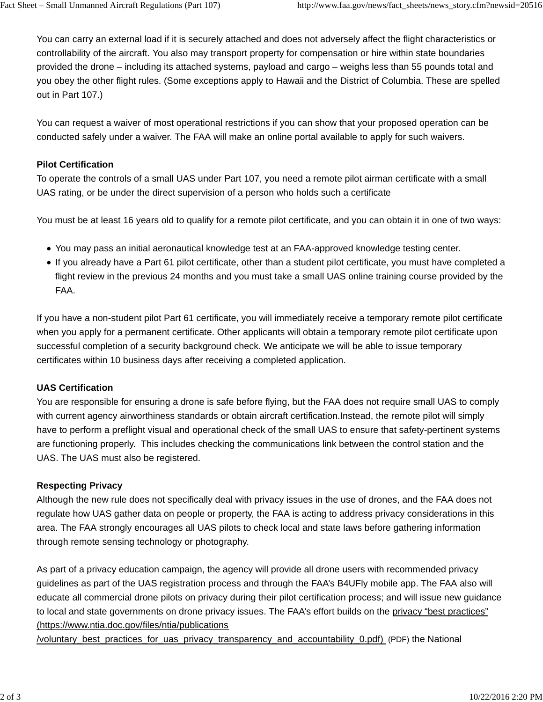You can carry an external load if it is securely attached and does not adversely affect the flight characteristics or controllability of the aircraft. You also may transport property for compensation or hire within state boundaries provided the drone – including its attached systems, payload and cargo – weighs less than 55 pounds total and you obey the other flight rules. (Some exceptions apply to Hawaii and the District of Columbia. These are spelled out in Part 107.)

You can request a waiver of most operational restrictions if you can show that your proposed operation can be conducted safely under a waiver. The FAA will make an online portal available to apply for such waivers.

#### **Pilot Certification**

To operate the controls of a small UAS under Part 107, you need a remote pilot airman certificate with a small UAS rating, or be under the direct supervision of a person who holds such a certificate

You must be at least 16 years old to qualify for a remote pilot certificate, and you can obtain it in one of two ways:

- You may pass an initial aeronautical knowledge test at an FAA-approved knowledge testing center.
- If you already have a Part 61 pilot certificate, other than a student pilot certificate, you must have completed a flight review in the previous 24 months and you must take a small UAS online training course provided by the FAA.

If you have a non-student pilot Part 61 certificate, you will immediately receive a temporary remote pilot certificate when you apply for a permanent certificate. Other applicants will obtain a temporary remote pilot certificate upon successful completion of a security background check. We anticipate we will be able to issue temporary certificates within 10 business days after receiving a completed application.

#### **UAS Certification**

You are responsible for ensuring a drone is safe before flying, but the FAA does not require small UAS to comply with current agency airworthiness standards or obtain aircraft certification.Instead, the remote pilot will simply have to perform a preflight visual and operational check of the small UAS to ensure that safety-pertinent systems are functioning properly. This includes checking the communications link between the control station and the UAS. The UAS must also be registered.

#### **Respecting Privacy**

Although the new rule does not specifically deal with privacy issues in the use of drones, and the FAA does not regulate how UAS gather data on people or property, the FAA is acting to address privacy considerations in this area. The FAA strongly encourages all UAS pilots to check local and state laws before gathering information through remote sensing technology or photography.

As part of a privacy education campaign, the agency will provide all drone users with recommended privacy guidelines as part of the UAS registration process and through the FAA's B4UFly mobile app. The FAA also will educate all commercial drone pilots on privacy during their pilot certification process; and will issue new guidance to local and state governments on drone privacy issues. The FAA's effort builds on the privacy "best practices" (https:[//www.ntia.doc.gov/files/ntia/publication](www.ntia.doc.gov/files/ntia/publications)s

/voluntary\_best\_practices\_for\_uas\_privacy\_transparency\_and\_accountability\_0.pdf) (PDF) the National